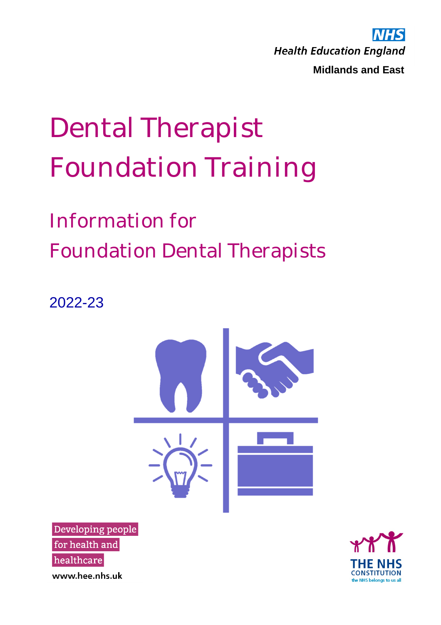MHS **Health Education England Midlands and East**

# Dental Therapist Foundation Training

## Information for Foundation Dental Therapists

2022-23



Developing people for health and healthcare www.hee.nhs.uk

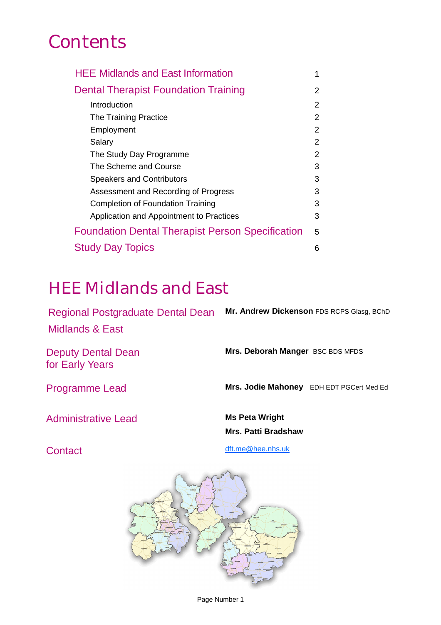## **Contents**

| <b>HEE Midlands and East Information</b>                |   |  |
|---------------------------------------------------------|---|--|
| <b>Dental Therapist Foundation Training</b>             |   |  |
| Introduction                                            | 2 |  |
| The Training Practice                                   | 2 |  |
| Employment                                              |   |  |
| Salary                                                  | 2 |  |
| The Study Day Programme                                 | 2 |  |
| The Scheme and Course                                   |   |  |
| <b>Speakers and Contributors</b>                        |   |  |
| Assessment and Recording of Progress                    |   |  |
| Completion of Foundation Training                       |   |  |
| Application and Appointment to Practices                | 3 |  |
| <b>Foundation Dental Therapist Person Specification</b> |   |  |
| <b>Study Day Topics</b>                                 |   |  |

### HEE Midlands and East

Regional Postgraduate Dental Dean Midlands & East **Mr. Andrew Dickenson** FDS RCPS Glasg, BChD

Deputy Dental Dean for Early Years

**Mrs. Deborah Manger** BSC BDS MFDS

Programme Lead **Mrs. Jodie Mahoney** EDH EDT PGCert Med Ed

Administrative Lead **Ms Peta Wright**

**Mrs. Patti Bradshaw**

Contact contact contact contact contact contact contact contact contact contact contact contact contact contact contact contact contact contact contact contact contact contact contact contact contact contact contact contac



Page Number 1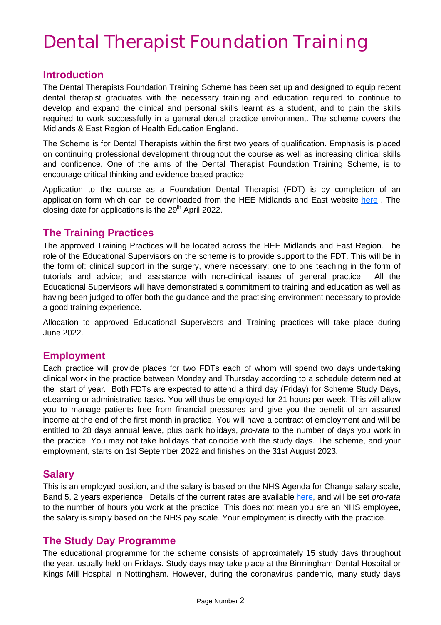## Dental Therapist Foundation Training

#### **Introduction**

The Dental Therapists Foundation Training Scheme has been set up and designed to equip recent dental therapist graduates with the necessary training and education required to continue to develop and expand the clinical and personal skills learnt as a student, and to gain the skills required to work successfully in a general dental practice environment. The scheme covers the Midlands & East Region of Health Education England.

The Scheme is for Dental Therapists within the first two years of qualification. Emphasis is placed on continuing professional development throughout the course as well as increasing clinical skills and confidence. One of the aims of the Dental Therapist Foundation Training Scheme, is to encourage critical thinking and evidence-based practice.

Application to the course as a Foundation Dental Therapist (FDT) is by completion of an application form which can be downloaded from the HEE Midlands and East website [here](https://heeoe.hee.nhs.uk/node/8126) . The closing date for applications is the  $29<sup>th</sup>$  April 2022.

#### **The Training Practices**

The approved Training Practices will be located across the HEE Midlands and East Region. The role of the Educational Supervisors on the scheme is to provide support to the FDT. This will be in the form of: clinical support in the surgery, where necessary; one to one teaching in the form of tutorials and advice; and assistance with non-clinical issues of general practice. All the Educational Supervisors will have demonstrated a commitment to training and education as well as having been judged to offer both the guidance and the practising environment necessary to provide a good training experience.

Allocation to approved Educational Supervisors and Training practices will take place during June 2022.

#### **Employment**

Each practice will provide places for two FDTs each of whom will spend two days undertaking clinical work in the practice between Monday and Thursday according to a schedule determined at the start of year. Both FDTs are expected to attend a third day (Friday) for Scheme Study Days, eLearning or administrative tasks. You will thus be employed for 21 hours per week. This will allow you to manage patients free from financial pressures and give you the benefit of an assured income at the end of the first month in practice. You will have a contract of employment and will be entitled to 28 days annual leave, plus bank holidays, *pro-rata* to the number of days you work in the practice. You may not take holidays that coincide with the study days. The scheme, and your employment, starts on 1st September 2022 and finishes on the 31st August 2023.

#### **Salary**

This is an employed position, and the salary is based on the NHS Agenda for Change salary scale, Band 5, 2 years experience. Details of the current rates are available [here,](https://www.healthcareers.nhs.uk/working-health/working-nhs/nhs-pay-and-benefits/agenda-change-pay-rates/agenda-change-pay-rates) and will be set *pro-rata* to the number of hours you work at the practice. This does not mean you are an NHS employee, the salary is simply based on the NHS pay scale. Your employment is directly with the practice.

#### **The Study Day Programme**

The educational programme for the scheme consists of approximately 15 study days throughout the year, usually held on Fridays. Study days may take place at the Birmingham Dental Hospital or Kings Mill Hospital in Nottingham. However, during the coronavirus pandemic, many study days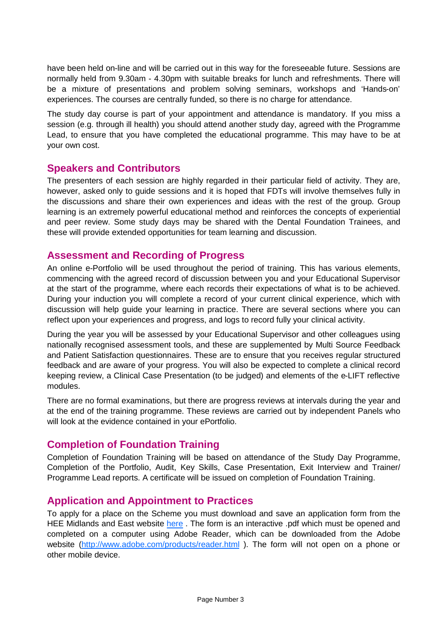have been held on-line and will be carried out in this way for the foreseeable future. Sessions are normally held from 9.30am - 4.30pm with suitable breaks for lunch and refreshments. There will be a mixture of presentations and problem solving seminars, workshops and 'Hands-on' experiences. The courses are centrally funded, so there is no charge for attendance.

The study day course is part of your appointment and attendance is mandatory. If you miss a session (e.g. through ill health) you should attend another study day, agreed with the Programme Lead, to ensure that you have completed the educational programme. This may have to be at your own cost.

#### **Speakers and Contributors**

The presenters of each session are highly regarded in their particular field of activity. They are, however, asked only to guide sessions and it is hoped that FDTs will involve themselves fully in the discussions and share their own experiences and ideas with the rest of the group. Group learning is an extremely powerful educational method and reinforces the concepts of experiential and peer review. Some study days may be shared with the Dental Foundation Trainees, and these will provide extended opportunities for team learning and discussion.

#### **Assessment and Recording of Progress**

An online e-Portfolio will be used throughout the period of training. This has various elements, commencing with the agreed record of discussion between you and your Educational Supervisor at the start of the programme, where each records their expectations of what is to be achieved. During your induction you will complete a record of your current clinical experience, which with discussion will help guide your learning in practice. There are several sections where you can reflect upon your experiences and progress, and logs to record fully your clinical activity.

During the year you will be assessed by your Educational Supervisor and other colleagues using nationally recognised assessment tools, and these are supplemented by Multi Source Feedback and Patient Satisfaction questionnaires. These are to ensure that you receives regular structured feedback and are aware of your progress. You will also be expected to complete a clinical record keeping review, a Clinical Case Presentation (to be judged) and elements of the e-LIFT reflective modules.

There are no formal examinations, but there are progress reviews at intervals during the year and at the end of the training programme. These reviews are carried out by independent Panels who will look at the evidence contained in your ePortfolio.

#### **Completion of Foundation Training**

Completion of Foundation Training will be based on attendance of the Study Day Programme, Completion of the Portfolio, Audit, Key Skills, Case Presentation, Exit Interview and Trainer/ Programme Lead reports. A certificate will be issued on completion of Foundation Training.

#### **Application and Appointment to Practices**

To apply for a place on the Scheme you must download and save an application form from the HEE Midlands and East website [here](https://heeoe.hee.nhs.uk/node/8126). The form is an interactive .pdf which must be opened and completed on a computer using Adobe Reader, which can be downloaded from the Adobe website [\(http://www.adobe.com/products/reader.html](http://www.adobe.com/products/reader.html)). The form will not open on a phone or other mobile device.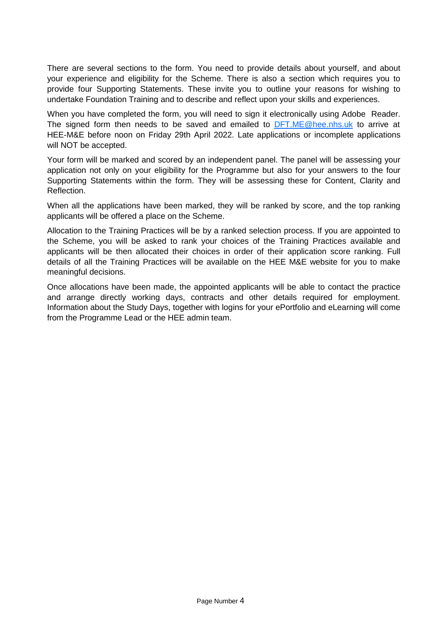There are several sections to the form. You need to provide details about yourself, and about your experience and eligibility for the Scheme. There is also a section which requires you to provide four Supporting Statements. These invite you to outline your reasons for wishing to undertake Foundation Training and to describe and reflect upon your skills and experiences.

When you have completed the form, you will need to sign it electronically using Adobe Reader. The signed form then needs to be saved and emailed to [DFT.ME@hee.nhs.uk](mailto:DFT.ME@hee.nhs.uk) to arrive at HEE-M&E before noon on Friday 29th April 2022. Late applications or incomplete applications will NOT be accepted.

Your form will be marked and scored by an independent panel. The panel will be assessing your application not only on your eligibility for the Programme but also for your answers to the four Supporting Statements within the form. They will be assessing these for Content, Clarity and Reflection.

When all the applications have been marked, they will be ranked by score, and the top ranking applicants will be offered a place on the Scheme.

Allocation to the Training Practices will be by a ranked selection process. If you are appointed to the Scheme, you will be asked to rank your choices of the Training Practices available and applicants will be then allocated their choices in order of their application score ranking. Full details of all the Training Practices will be available on the HEE M&E website for you to make meaningful decisions.

Once allocations have been made, the appointed applicants will be able to contact the practice and arrange directly working days, contracts and other details required for employment. Information about the Study Days, together with logins for your ePortfolio and eLearning will come from the Programme Lead or the HEE admin team.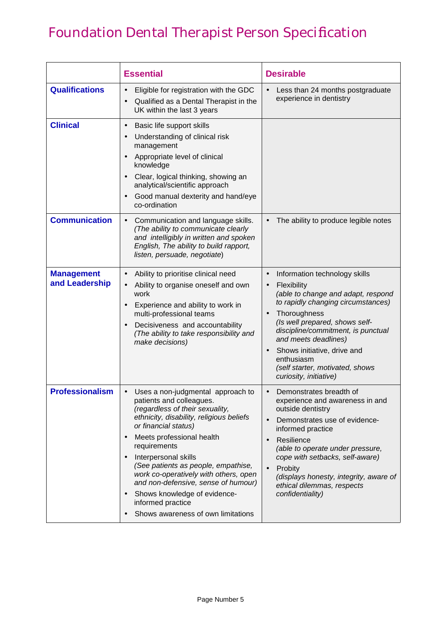## Foundation Dental Therapist Person Specification

|                                     | <b>Essential</b>                                                                                                                                                                                                                                                                                                                                                                                                                                                         | <b>Desirable</b>                                                                                                                                                                                                                                                                                                                                                                          |
|-------------------------------------|--------------------------------------------------------------------------------------------------------------------------------------------------------------------------------------------------------------------------------------------------------------------------------------------------------------------------------------------------------------------------------------------------------------------------------------------------------------------------|-------------------------------------------------------------------------------------------------------------------------------------------------------------------------------------------------------------------------------------------------------------------------------------------------------------------------------------------------------------------------------------------|
| <b>Qualifications</b>               | Eligible for registration with the GDC<br>Qualified as a Dental Therapist in the<br>UK within the last 3 years                                                                                                                                                                                                                                                                                                                                                           | Less than 24 months postgraduate<br>experience in dentistry                                                                                                                                                                                                                                                                                                                               |
| <b>Clinical</b>                     | Basic life support skills<br>$\bullet$<br>Understanding of clinical risk<br>management<br>Appropriate level of clinical<br>$\bullet$<br>knowledge<br>Clear, logical thinking, showing an<br>analytical/scientific approach<br>Good manual dexterity and hand/eye<br>$\bullet$<br>co-ordination                                                                                                                                                                           |                                                                                                                                                                                                                                                                                                                                                                                           |
| <b>Communication</b>                | Communication and language skills.<br>$\bullet$<br>(The ability to communicate clearly<br>and intelligibly in written and spoken<br>English, The ability to build rapport,<br>listen, persuade, negotiate)                                                                                                                                                                                                                                                               | The ability to produce legible notes                                                                                                                                                                                                                                                                                                                                                      |
| <b>Management</b><br>and Leadership | Ability to prioritise clinical need<br>$\bullet$<br>Ability to organise oneself and own<br>$\bullet$<br>work<br>Experience and ability to work in<br>$\bullet$<br>multi-professional teams<br>Decisiveness and accountability<br>(The ability to take responsibility and<br>make decisions)                                                                                                                                                                              | Information technology skills<br>$\bullet$<br>Flexibility<br>(able to change and adapt, respond<br>to rapidly changing circumstances)<br>Thoroughness<br>$\bullet$<br>(Is well prepared, shows self-<br>discipline/commitment, is punctual<br>and meets deadlines)<br>Shows initiative, drive and<br>$\bullet$<br>enthusiasm<br>(self starter, motivated, shows<br>curiosity, initiative) |
| <b>Professionalism</b>              | Uses a non-judgmental approach to<br>patients and colleagues.<br>(regardless of their sexuality,<br>ethnicity, disability, religious beliefs<br>or financial status)<br>Meets professional health<br>requirements<br>Interpersonal skills<br>(See patients as people, empathise,<br>work co-operatively with others, open<br>and non-defensive, sense of humour)<br>Shows knowledge of evidence-<br>$\bullet$<br>informed practice<br>Shows awareness of own limitations | Demonstrates breadth of<br>experience and awareness in and<br>outside dentistry<br>Demonstrates use of evidence-<br>$\bullet$<br>informed practice<br>Resilience<br>(able to operate under pressure,<br>cope with setbacks, self-aware)<br>Probity<br>$\bullet$<br>(displays honesty, integrity, aware of<br>ethical dilemmas, respects<br>confidentiality)                               |